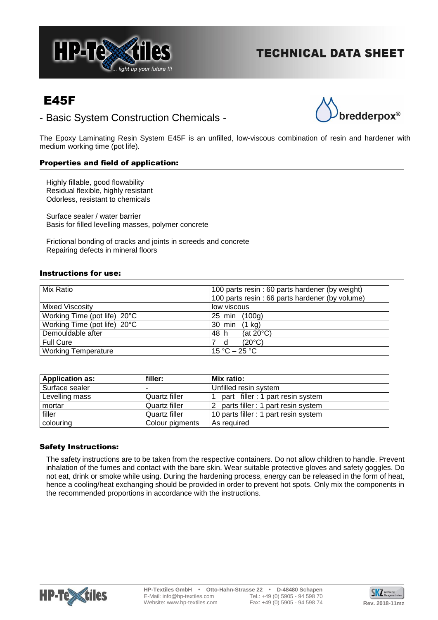

# **TECHNICAL DATA SHEET**

# E45F

# - Basic System Construction Chemicals -



The Epoxy Laminating Resin System E45F is an unfilled, low-viscous combination of resin and hardener with medium working time (pot life).

# Properties and field of application:

Highly fillable, good flowability Residual flexible, highly resistant Odorless, resistant to chemicals

Surface sealer / water barrier Basis for filled levelling masses, polymer concrete

Frictional bonding of cracks and joints in screeds and concrete Repairing defects in mineral floors

# Instructions for use:

| Mix Ratio                    | 100 parts resin : 60 parts hardener (by weight) |
|------------------------------|-------------------------------------------------|
|                              | 100 parts resin : 66 parts hardener (by volume) |
| <b>Mixed Viscosity</b>       | low viscous                                     |
| Working Time (pot life) 20°C | 25 min (100g)                                   |
| Working Time (pot life) 20°C | 30 min (1 kg)                                   |
| Demouldable after            | 48 h<br>(at $20^{\circ}$ C)                     |
| <b>Full Cure</b>             | $(20^{\circ}C)$<br>d                            |
| <b>Working Temperature</b>   | 15 °C – 25 °C                                   |

| <b>Application as:</b> | filler:         | Mix ratio:                            |
|------------------------|-----------------|---------------------------------------|
| Surface sealer         |                 | Unfilled resin system                 |
| Levelling mass         | Quartz filler   | part filler: 1 part resin system      |
| mortar                 | Quartz filler   | 2 parts filler : 1 part resin system  |
| filler                 | Quartz filler   | 10 parts filler : 1 part resin system |
| colouring              | Colour pigments | As required                           |

# Safety Instructions:

The safety instructions are to be taken from the respective containers. Do not allow children to handle. Prevent inhalation of the fumes and contact with the bare skin. Wear suitable protective gloves and safety goggles. Do not eat, drink or smoke while using. During the hardening process, energy can be released in the form of heat, hence a cooling/heat exchanging should be provided in order to prevent hot spots. Only mix the components in the recommended proportions in accordance with the instructions.